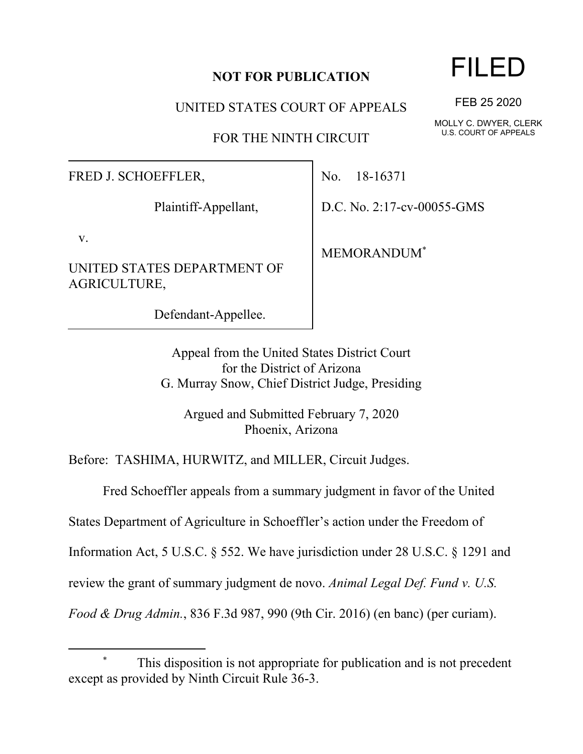## **NOT FOR PUBLICATION**

UNITED STATES COURT OF APPEALS

FOR THE NINTH CIRCUIT

FRED J. SCHOEFFLER,

Plaintiff-Appellant,

v.

UNITED STATES DEPARTMENT OF AGRICULTURE,

Defendant-Appellee.

No. 18-16371

D.C. No. 2:17-cv-00055-GMS

MEMORANDUM\*

Appeal from the United States District Court for the District of Arizona G. Murray Snow, Chief District Judge, Presiding

Argued and Submitted February 7, 2020 Phoenix, Arizona

Before: TASHIMA, HURWITZ, and MILLER, Circuit Judges.

Fred Schoeffler appeals from a summary judgment in favor of the United

States Department of Agriculture in Schoeffler's action under the Freedom of

Information Act, 5 U.S.C. § 552. We have jurisdiction under 28 U.S.C. § 1291 and

review the grant of summary judgment de novo. *Animal Legal Def. Fund v. U.S.* 

*Food & Drug Admin.*, 836 F.3d 987, 990 (9th Cir. 2016) (en banc) (per curiam).

## FILED

FEB 25 2020

MOLLY C. DWYER, CLERK U.S. COURT OF APPEALS

This disposition is not appropriate for publication and is not precedent except as provided by Ninth Circuit Rule 36-3.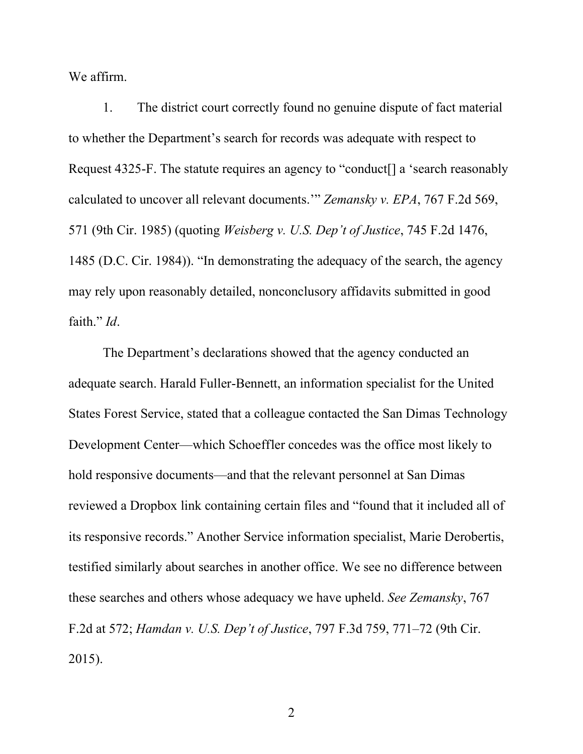We affirm.

1. The district court correctly found no genuine dispute of fact material to whether the Department's search for records was adequate with respect to Request 4325-F. The statute requires an agency to "conduct[] a 'search reasonably calculated to uncover all relevant documents.'" *Zemansky v. EPA*, 767 F.2d 569, 571 (9th Cir. 1985) (quoting *Weisberg v. U.S. Dep't of Justice*, 745 F.2d 1476, 1485 (D.C. Cir. 1984)). "In demonstrating the adequacy of the search, the agency may rely upon reasonably detailed, nonconclusory affidavits submitted in good faith." *Id*.

The Department's declarations showed that the agency conducted an adequate search. Harald Fuller-Bennett, an information specialist for the United States Forest Service, stated that a colleague contacted the San Dimas Technology Development Center—which Schoeffler concedes was the office most likely to hold responsive documents—and that the relevant personnel at San Dimas reviewed a Dropbox link containing certain files and "found that it included all of its responsive records." Another Service information specialist, Marie Derobertis, testified similarly about searches in another office. We see no difference between these searches and others whose adequacy we have upheld. *See Zemansky*, 767 F.2d at 572; *Hamdan v. U.S. Dep't of Justice*, 797 F.3d 759, 771–72 (9th Cir. 2015).

2 a set of  $\sim$  2 a set of  $\sim$  2 a set of  $\sim$  2 a set of  $\sim$  3 a set of  $\sim$  3 a set of  $\sim$  3 a set of  $\sim$  3 a set of  $\sim$  3 a set of  $\sim$  3 a set of  $\sim$  3 a set of  $\sim$  3 a set of  $\sim$  3 a set of  $\sim$  3 a set of  $\sim$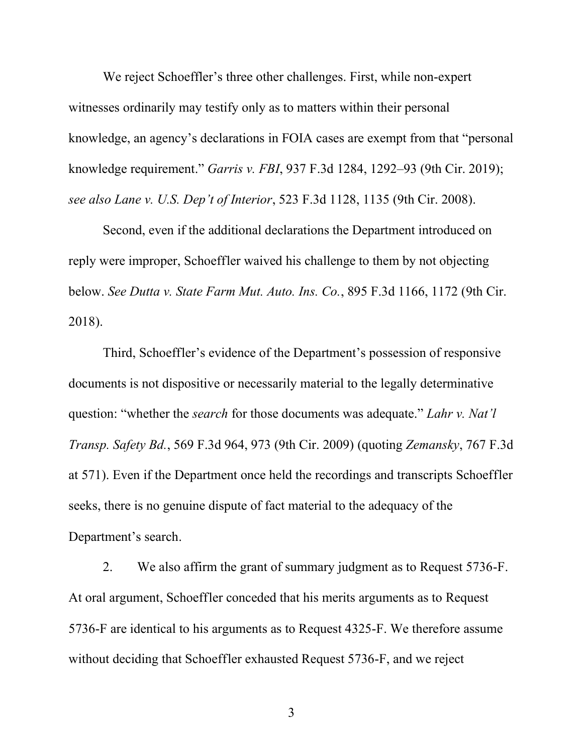We reject Schoeffler's three other challenges. First, while non-expert witnesses ordinarily may testify only as to matters within their personal knowledge, an agency's declarations in FOIA cases are exempt from that "personal knowledge requirement." *Garris v. FBI*, 937 F.3d 1284, 1292–93 (9th Cir. 2019); *see also Lane v. U.S. Dep't of Interior*, 523 F.3d 1128, 1135 (9th Cir. 2008).

Second, even if the additional declarations the Department introduced on reply were improper, Schoeffler waived his challenge to them by not objecting below. *See Dutta v. State Farm Mut. Auto. Ins. Co.*, 895 F.3d 1166, 1172 (9th Cir. 2018).

Third, Schoeffler's evidence of the Department's possession of responsive documents is not dispositive or necessarily material to the legally determinative question: "whether the *search* for those documents was adequate." *Lahr v. Nat'l Transp. Safety Bd.*, 569 F.3d 964, 973 (9th Cir. 2009) (quoting *Zemansky*, 767 F.3d at 571). Even if the Department once held the recordings and transcripts Schoeffler seeks, there is no genuine dispute of fact material to the adequacy of the Department's search.

2. We also affirm the grant of summary judgment as to Request 5736-F. At oral argument, Schoeffler conceded that his merits arguments as to Request 5736-F are identical to his arguments as to Request 4325-F. We therefore assume without deciding that Schoeffler exhausted Request 5736-F, and we reject

3